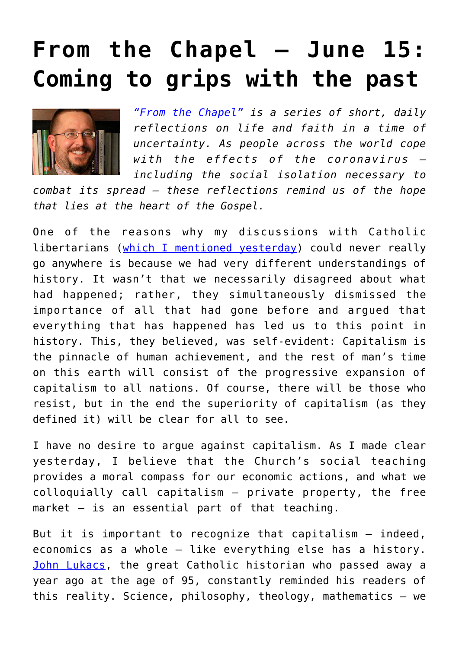## **[From the Chapel — June 15:](https://www.osvnews.com/2020/06/15/from-the-chapel-june-15-coming-to-grips-with-the-past/) [Coming to grips with the past](https://www.osvnews.com/2020/06/15/from-the-chapel-june-15-coming-to-grips-with-the-past/)**



*["From the Chapel"](https://www.osvnews.com/tag/from-the-chapel/) is a series of short, daily reflections on life and faith in a time of uncertainty. As people across the world cope with the effects of the coronavirus including the social isolation necessary to*

*combat its spread — these reflections remind us of the hope that lies at the heart of the Gospel.*

One of the reasons why my discussions with Catholic libertarians [\(which I mentioned yesterday](https://www.osvnews.com/2020/06/14/from-the-chapel-june-14-the-economy-of-salvation/)) could never really go anywhere is because we had very different understandings of history. It wasn't that we necessarily disagreed about what had happened; rather, they simultaneously dismissed the importance of all that had gone before and argued that everything that has happened has led us to this point in history. This, they believed, was self-evident: Capitalism is the pinnacle of human achievement, and the rest of man's time on this earth will consist of the progressive expansion of capitalism to all nations. Of course, there will be those who resist, but in the end the superiority of capitalism (as they defined it) will be clear for all to see.

I have no desire to argue against capitalism. As I made clear yesterday, I believe that the Church's social teaching provides a moral compass for our economic actions, and what we colloquially call capitalism — private property, the free market — is an essential part of that teaching.

But it is important to recognize that capitalism — indeed, economics as a whole — like everything else has a history. [John Lukacs](https://www.osvnews.com/2020/05/07/from-the-chapel-may-7-the-truth-is-out-there-and-in-here/), the great Catholic historian who passed away a year ago at the age of 95, constantly reminded his readers of this reality. Science, philosophy, theology, mathematics — we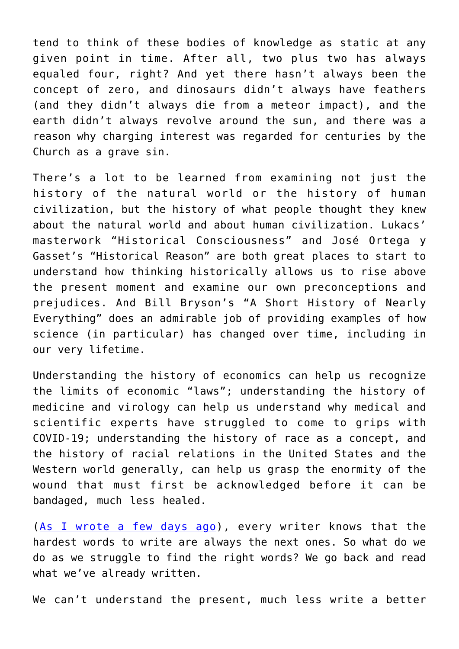tend to think of these bodies of knowledge as static at any given point in time. After all, two plus two has always equaled four, right? And yet there hasn't always been the concept of zero, and dinosaurs didn't always have feathers (and they didn't always die from a meteor impact), and the earth didn't always revolve around the sun, and there was a reason why charging interest was regarded for centuries by the Church as a grave sin.

There's a lot to be learned from examining not just the history of the natural world or the history of human civilization, but the history of what people thought they knew about the natural world and about human civilization. Lukacs' masterwork "Historical Consciousness" and José Ortega y Gasset's "Historical Reason" are both great places to start to understand how thinking historically allows us to rise above the present moment and examine our own preconceptions and prejudices. And Bill Bryson's "A Short History of Nearly Everything" does an admirable job of providing examples of how science (in particular) has changed over time, including in our very lifetime.

Understanding the history of economics can help us recognize the limits of economic "laws"; understanding the history of medicine and virology can help us understand why medical and scientific experts have struggled to come to grips with COVID-19; understanding the history of race as a concept, and the history of racial relations in the United States and the Western world generally, can help us grasp the enormity of the wound that must first be acknowledged before it can be bandaged, much less healed.

([As I wrote a few days ago\)](https://www.osvnews.com/2020/06/10/from-the-chapel-june-10-the-next-chapter/), every writer knows that the hardest words to write are always the next ones. So what do we do as we struggle to find the right words? We go back and read what we've already written.

We can't understand the present, much less write a better